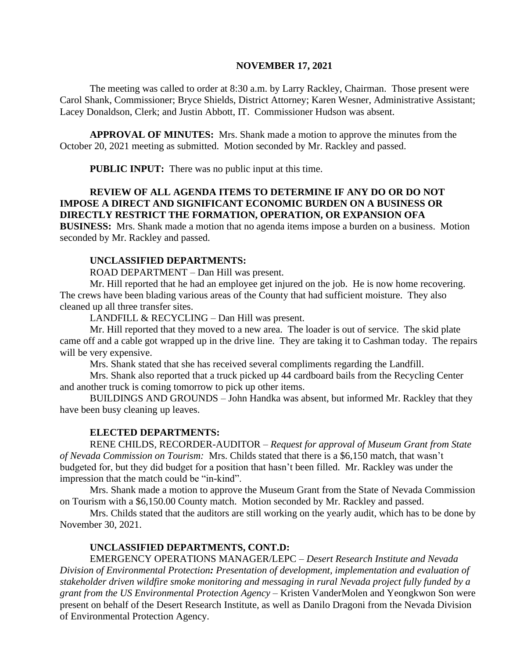#### **NOVEMBER 17, 2021**

The meeting was called to order at 8:30 a.m. by Larry Rackley, Chairman. Those present were Carol Shank, Commissioner; Bryce Shields, District Attorney; Karen Wesner, Administrative Assistant; Lacey Donaldson, Clerk; and Justin Abbott, IT. Commissioner Hudson was absent.

**APPROVAL OF MINUTES:** Mrs. Shank made a motion to approve the minutes from the October 20, 2021 meeting as submitted. Motion seconded by Mr. Rackley and passed.

**PUBLIC INPUT:** There was no public input at this time.

# **REVIEW OF ALL AGENDA ITEMS TO DETERMINE IF ANY DO OR DO NOT IMPOSE A DIRECT AND SIGNIFICANT ECONOMIC BURDEN ON A BUSINESS OR DIRECTLY RESTRICT THE FORMATION, OPERATION, OR EXPANSION OFA**

**BUSINESS:** Mrs. Shank made a motion that no agenda items impose a burden on a business. Motion seconded by Mr. Rackley and passed.

# **UNCLASSIFIED DEPARTMENTS:**

ROAD DEPARTMENT – Dan Hill was present.

Mr. Hill reported that he had an employee get injured on the job. He is now home recovering. The crews have been blading various areas of the County that had sufficient moisture. They also cleaned up all three transfer sites.

LANDFILL & RECYCLING – Dan Hill was present.

Mr. Hill reported that they moved to a new area. The loader is out of service. The skid plate came off and a cable got wrapped up in the drive line. They are taking it to Cashman today. The repairs will be very expensive.

Mrs. Shank stated that she has received several compliments regarding the Landfill.

Mrs. Shank also reported that a truck picked up 44 cardboard bails from the Recycling Center and another truck is coming tomorrow to pick up other items.

BUILDINGS AND GROUNDS – John Handka was absent, but informed Mr. Rackley that they have been busy cleaning up leaves.

# **ELECTED DEPARTMENTS:**

RENE CHILDS, RECORDER-AUDITOR – *Request for approval of Museum Grant from State of Nevada Commission on Tourism:* Mrs. Childs stated that there is a \$6,150 match, that wasn't budgeted for, but they did budget for a position that hasn't been filled. Mr. Rackley was under the impression that the match could be "in-kind".

Mrs. Shank made a motion to approve the Museum Grant from the State of Nevada Commission on Tourism with a \$6,150.00 County match. Motion seconded by Mr. Rackley and passed.

Mrs. Childs stated that the auditors are still working on the yearly audit, which has to be done by November 30, 2021.

# **UNCLASSIFIED DEPARTMENTS, CONT.D:**

EMERGENCY OPERATIONS MANAGER/LEPC – *Desert Research Institute and Nevada Division of Environmental Protection: Presentation of development, implementation and evaluation of stakeholder driven wildfire smoke monitoring and messaging in rural Nevada project fully funded by a grant from the US Environmental Protection Agency –* Kristen VanderMolen and Yeongkwon Son were present on behalf of the Desert Research Institute, as well as Danilo Dragoni from the Nevada Division of Environmental Protection Agency.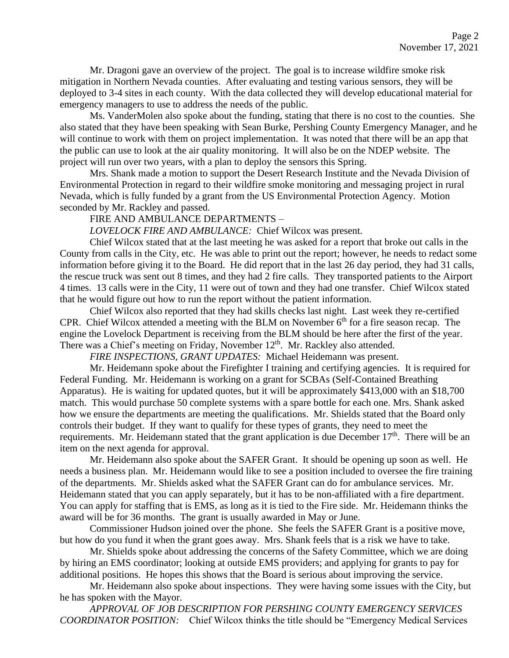Mr. Dragoni gave an overview of the project. The goal is to increase wildfire smoke risk mitigation in Northern Nevada counties. After evaluating and testing various sensors, they will be deployed to 3-4 sites in each county. With the data collected they will develop educational material for emergency managers to use to address the needs of the public.

Ms. VanderMolen also spoke about the funding, stating that there is no cost to the counties. She also stated that they have been speaking with Sean Burke, Pershing County Emergency Manager, and he will continue to work with them on project implementation. It was noted that there will be an app that the public can use to look at the air quality monitoring. It will also be on the NDEP website. The project will run over two years, with a plan to deploy the sensors this Spring.

Mrs. Shank made a motion to support the Desert Research Institute and the Nevada Division of Environmental Protection in regard to their wildfire smoke monitoring and messaging project in rural Nevada, which is fully funded by a grant from the US Environmental Protection Agency. Motion seconded by Mr. Rackley and passed.

#### FIRE AND AMBULANCE DEPARTMENTS –

*LOVELOCK FIRE AND AMBULANCE:* Chief Wilcox was present.

Chief Wilcox stated that at the last meeting he was asked for a report that broke out calls in the County from calls in the City, etc. He was able to print out the report; however, he needs to redact some information before giving it to the Board. He did report that in the last 26 day period, they had 31 calls, the rescue truck was sent out 8 times, and they had 2 fire calls. They transported patients to the Airport 4 times. 13 calls were in the City, 11 were out of town and they had one transfer. Chief Wilcox stated that he would figure out how to run the report without the patient information.

Chief Wilcox also reported that they had skills checks last night. Last week they re-certified CPR. Chief Wilcox attended a meeting with the BLM on November  $6<sup>th</sup>$  for a fire season recap. The engine the Lovelock Department is receiving from the BLM should be here after the first of the year. There was a Chief's meeting on Friday, November  $12<sup>th</sup>$ . Mr. Rackley also attended.

*FIRE INSPECTIONS, GRANT UPDATES:* Michael Heidemann was present.

Mr. Heidemann spoke about the Firefighter I training and certifying agencies. It is required for Federal Funding. Mr. Heidemann is working on a grant for SCBAs (Self-Contained Breathing Apparatus). He is waiting for updated quotes, but it will be approximately \$413,000 with an \$18,700 match. This would purchase 50 complete systems with a spare bottle for each one. Mrs. Shank asked how we ensure the departments are meeting the qualifications. Mr. Shields stated that the Board only controls their budget. If they want to qualify for these types of grants, they need to meet the requirements. Mr. Heidemann stated that the grant application is due December 17<sup>th</sup>. There will be an item on the next agenda for approval.

Mr. Heidemann also spoke about the SAFER Grant. It should be opening up soon as well. He needs a business plan. Mr. Heidemann would like to see a position included to oversee the fire training of the departments. Mr. Shields asked what the SAFER Grant can do for ambulance services. Mr. Heidemann stated that you can apply separately, but it has to be non-affiliated with a fire department. You can apply for staffing that is EMS, as long as it is tied to the Fire side. Mr. Heidemann thinks the award will be for 36 months. The grant is usually awarded in May or June.

Commissioner Hudson joined over the phone. She feels the SAFER Grant is a positive move, but how do you fund it when the grant goes away. Mrs. Shank feels that is a risk we have to take.

Mr. Shields spoke about addressing the concerns of the Safety Committee, which we are doing by hiring an EMS coordinator; looking at outside EMS providers; and applying for grants to pay for additional positions. He hopes this shows that the Board is serious about improving the service.

Mr. Heidemann also spoke about inspections. They were having some issues with the City, but he has spoken with the Mayor.

*APPROVAL OF JOB DESCRIPTION FOR PERSHING COUNTY EMERGENCY SERVICES COORDINATOR POSITION:* Chief Wilcox thinks the title should be "Emergency Medical Services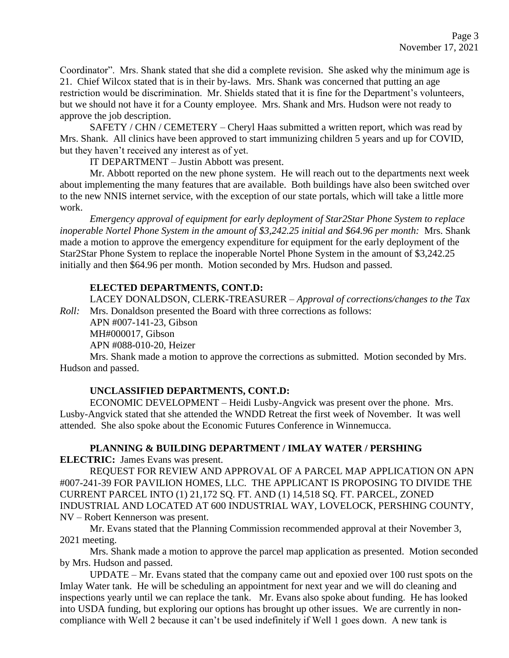Coordinator". Mrs. Shank stated that she did a complete revision. She asked why the minimum age is 21. Chief Wilcox stated that is in their by-laws. Mrs. Shank was concerned that putting an age restriction would be discrimination. Mr. Shields stated that it is fine for the Department's volunteers, but we should not have it for a County employee. Mrs. Shank and Mrs. Hudson were not ready to approve the job description.

SAFETY / CHN / CEMETERY – Cheryl Haas submitted a written report, which was read by Mrs. Shank. All clinics have been approved to start immunizing children 5 years and up for COVID, but they haven't received any interest as of yet.

IT DEPARTMENT – Justin Abbott was present.

Mr. Abbott reported on the new phone system. He will reach out to the departments next week about implementing the many features that are available. Both buildings have also been switched over to the new NNIS internet service, with the exception of our state portals, which will take a little more work.

*Emergency approval of equipment for early deployment of Star2Star Phone System to replace inoperable Nortel Phone System in the amount of \$3,242.25 initial and \$64.96 per month:* Mrs. Shank made a motion to approve the emergency expenditure for equipment for the early deployment of the Star2Star Phone System to replace the inoperable Nortel Phone System in the amount of \$3,242.25 initially and then \$64.96 per month. Motion seconded by Mrs. Hudson and passed.

# **ELECTED DEPARTMENTS, CONT.D:**

LACEY DONALDSON, CLERK-TREASURER – *Approval of corrections/changes to the Tax Roll:* Mrs. Donaldson presented the Board with three corrections as follows:

APN #007-141-23, Gibson MH#000017, Gibson

APN #088-010-20, Heizer

Mrs. Shank made a motion to approve the corrections as submitted. Motion seconded by Mrs. Hudson and passed.

#### **UNCLASSIFIED DEPARTMENTS, CONT.D:**

ECONOMIC DEVELOPMENT – Heidi Lusby-Angvick was present over the phone. Mrs. Lusby-Angvick stated that she attended the WNDD Retreat the first week of November. It was well attended. She also spoke about the Economic Futures Conference in Winnemucca.

#### **PLANNING & BUILDING DEPARTMENT / IMLAY WATER / PERSHING**

**ELECTRIC:** James Evans was present.

REQUEST FOR REVIEW AND APPROVAL OF A PARCEL MAP APPLICATION ON APN #007-241-39 FOR PAVILION HOMES, LLC. THE APPLICANT IS PROPOSING TO DIVIDE THE CURRENT PARCEL INTO (1) 21,172 SQ. FT. AND (1) 14,518 SQ. FT. PARCEL, ZONED INDUSTRIAL AND LOCATED AT 600 INDUSTRIAL WAY, LOVELOCK, PERSHING COUNTY, NV – Robert Kennerson was present.

Mr. Evans stated that the Planning Commission recommended approval at their November 3, 2021 meeting.

Mrs. Shank made a motion to approve the parcel map application as presented. Motion seconded by Mrs. Hudson and passed.

UPDATE – Mr. Evans stated that the company came out and epoxied over 100 rust spots on the Imlay Water tank. He will be scheduling an appointment for next year and we will do cleaning and inspections yearly until we can replace the tank. Mr. Evans also spoke about funding. He has looked into USDA funding, but exploring our options has brought up other issues. We are currently in noncompliance with Well 2 because it can't be used indefinitely if Well 1 goes down. A new tank is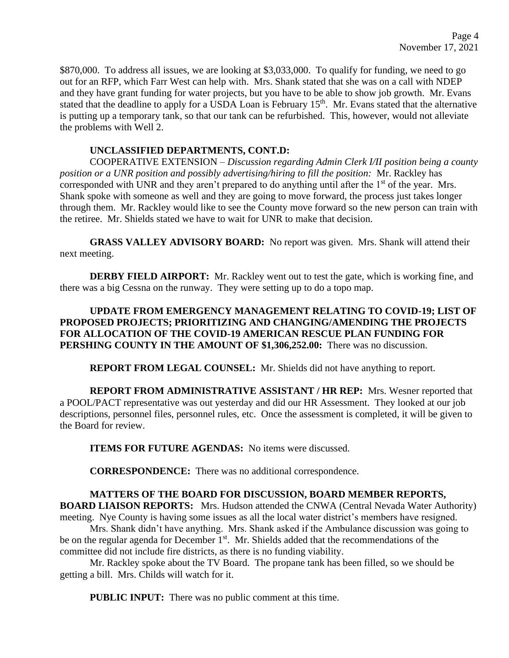\$870,000. To address all issues, we are looking at \$3,033,000. To qualify for funding, we need to go out for an RFP, which Farr West can help with. Mrs. Shank stated that she was on a call with NDEP and they have grant funding for water projects, but you have to be able to show job growth. Mr. Evans stated that the deadline to apply for a USDA Loan is February  $15<sup>th</sup>$ . Mr. Evans stated that the alternative is putting up a temporary tank, so that our tank can be refurbished. This, however, would not alleviate the problems with Well 2.

#### **UNCLASSIFIED DEPARTMENTS, CONT.D:**

COOPERATIVE EXTENSION – *Discussion regarding Admin Clerk I/II position being a county position or a UNR position and possibly advertising/hiring to fill the position:* Mr. Rackley has corresponded with UNR and they aren't prepared to do anything until after the 1<sup>st</sup> of the year. Mrs. Shank spoke with someone as well and they are going to move forward, the process just takes longer through them. Mr. Rackley would like to see the County move forward so the new person can train with the retiree. Mr. Shields stated we have to wait for UNR to make that decision.

**GRASS VALLEY ADVISORY BOARD:** No report was given. Mrs. Shank will attend their next meeting.

**DERBY FIELD AIRPORT:** Mr. Rackley went out to test the gate, which is working fine, and there was a big Cessna on the runway. They were setting up to do a topo map.

**UPDATE FROM EMERGENCY MANAGEMENT RELATING TO COVID-19; LIST OF PROPOSED PROJECTS; PRIORITIZING AND CHANGING/AMENDING THE PROJECTS FOR ALLOCATION OF THE COVID-19 AMERICAN RESCUE PLAN FUNDING FOR PERSHING COUNTY IN THE AMOUNT OF \$1,306,252.00:** There was no discussion.

**REPORT FROM LEGAL COUNSEL:** Mr. Shields did not have anything to report.

**REPORT FROM ADMINISTRATIVE ASSISTANT / HR REP:** Mrs. Wesner reported that a POOL/PACT representative was out yesterday and did our HR Assessment. They looked at our job descriptions, personnel files, personnel rules, etc. Once the assessment is completed, it will be given to the Board for review.

**ITEMS FOR FUTURE AGENDAS:** No items were discussed.

**CORRESPONDENCE:** There was no additional correspondence.

# **MATTERS OF THE BOARD FOR DISCUSSION, BOARD MEMBER REPORTS,**

**BOARD LIAISON REPORTS:** Mrs. Hudson attended the CNWA (Central Nevada Water Authority) meeting. Nye County is having some issues as all the local water district's members have resigned.

Mrs. Shank didn't have anything. Mrs. Shank asked if the Ambulance discussion was going to be on the regular agenda for December 1<sup>st</sup>. Mr. Shields added that the recommendations of the committee did not include fire districts, as there is no funding viability.

Mr. Rackley spoke about the TV Board. The propane tank has been filled, so we should be getting a bill. Mrs. Childs will watch for it.

**PUBLIC INPUT:** There was no public comment at this time.